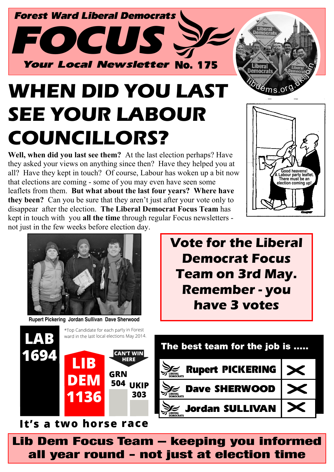

# **WHEN DID YOU LAST SEE YOUR LABOUR COUNCILLORS?**

**Well, when did you last see them?** At the last election perhaps? Have they asked your views on anything since then? Have they helped you at all? Have they kept in touch? Of course, Labour has woken up a bit now that elections are coming - some of you may even have seen some leaflets from them. **But what about the last four years? Where have they been?** Can you be sure that they aren't just after your vote only to disappear after the election. **The Liberal Democrat Focus Team** has kept in touch with you **all the time** through regular Focus newsletters not just in the few weeks before election day.





**Rupert Pickering Jordan Sullivan Dave Sherwood**

**Vote for the Liberal Democrat Focus Team on 3rd May. Remember - you have 3 votes**



Lib Dem Focus Team – keeping you informed all year round - not just at election time